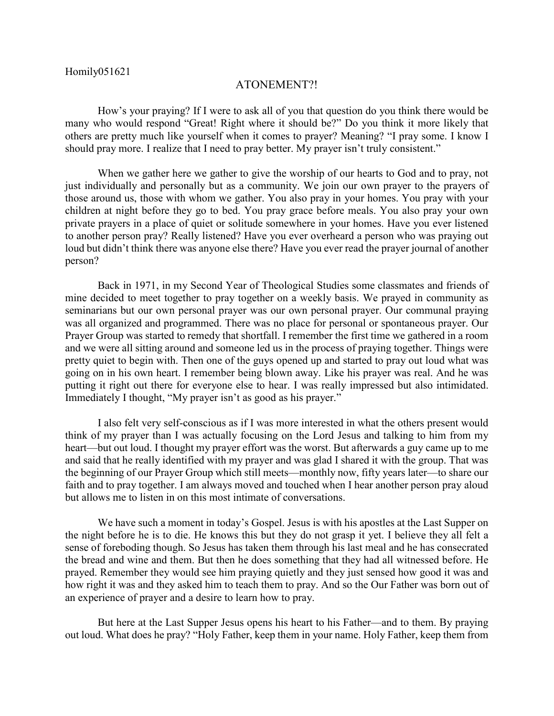## ATONEMENT?!

How's your praying? If I were to ask all of you that question do you think there would be many who would respond "Great! Right where it should be?" Do you think it more likely that others are pretty much like yourself when it comes to prayer? Meaning? "I pray some. I know I should pray more. I realize that I need to pray better. My prayer isn't truly consistent."

When we gather here we gather to give the worship of our hearts to God and to pray, not just individually and personally but as a community. We join our own prayer to the prayers of those around us, those with whom we gather. You also pray in your homes. You pray with your children at night before they go to bed. You pray grace before meals. You also pray your own private prayers in a place of quiet or solitude somewhere in your homes. Have you ever listened to another person pray? Really listened? Have you ever overheard a person who was praying out loud but didn't think there was anyone else there? Have you ever read the prayer journal of another person?

Back in 1971, in my Second Year of Theological Studies some classmates and friends of mine decided to meet together to pray together on a weekly basis. We prayed in community as seminarians but our own personal prayer was our own personal prayer. Our communal praying was all organized and programmed. There was no place for personal or spontaneous prayer. Our Prayer Group was started to remedy that shortfall. I remember the first time we gathered in a room and we were all sitting around and someone led us in the process of praying together. Things were pretty quiet to begin with. Then one of the guys opened up and started to pray out loud what was going on in his own heart. I remember being blown away. Like his prayer was real. And he was putting it right out there for everyone else to hear. I was really impressed but also intimidated. Immediately I thought, "My prayer isn't as good as his prayer."

I also felt very self-conscious as if I was more interested in what the others present would think of my prayer than I was actually focusing on the Lord Jesus and talking to him from my heart—but out loud. I thought my prayer effort was the worst. But afterwards a guy came up to me and said that he really identified with my prayer and was glad I shared it with the group. That was the beginning of our Prayer Group which still meets—monthly now, fifty years later—to share our faith and to pray together. I am always moved and touched when I hear another person pray aloud but allows me to listen in on this most intimate of conversations.

We have such a moment in today's Gospel. Jesus is with his apostles at the Last Supper on the night before he is to die. He knows this but they do not grasp it yet. I believe they all felt a sense of foreboding though. So Jesus has taken them through his last meal and he has consecrated the bread and wine and them. But then he does something that they had all witnessed before. He prayed. Remember they would see him praying quietly and they just sensed how good it was and how right it was and they asked him to teach them to pray. And so the Our Father was born out of an experience of prayer and a desire to learn how to pray.

But here at the Last Supper Jesus opens his heart to his Father—and to them. By praying out loud. What does he pray? "Holy Father, keep them in your name. Holy Father, keep them from